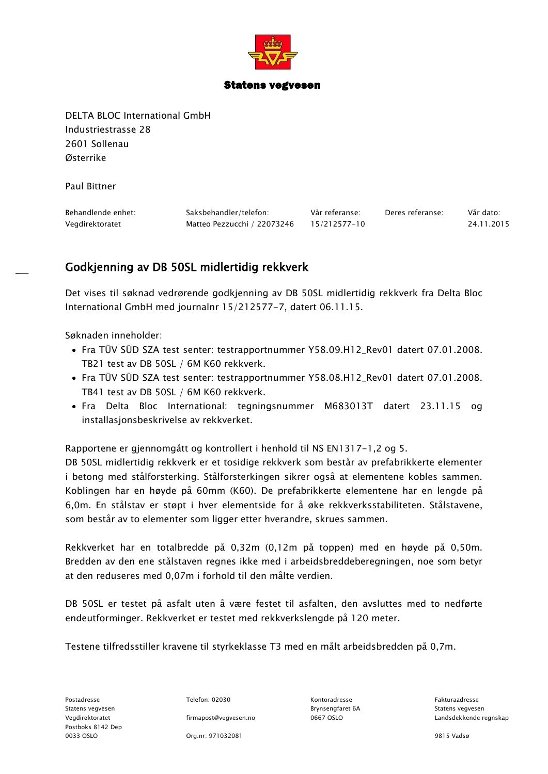

## Statens vegvesen

DELTA BLOC International GmbH Industriestrasse 28 2601 Sollenau Østerrike

Paul Bittner

| Behandlende enhet: | Saksbehandler/telefon:      | Vår referanse: | Deres referanse: | Vår dato:  |
|--------------------|-----------------------------|----------------|------------------|------------|
| Vegdirektoratet    | Matteo Pezzucchi / 22073246 | 15/212577-10   |                  | 24.11.2015 |

## Godkjenning av DB 50SL midlertidig rekkverk

Det vises til søknad vedrørende godkjenning av DB 50SL midlertidig rekkverk fra Delta Bloc International GmbH med journalnr 15/212577-7, datert 06.11.15.

Søknaden inneholder:

- Fra TÜV SÜD SZA test senter: testrapportnummer Y58.09.H12\_Rev01 datert 07.01.2008. TB21 test av DB 50SL / 6M K60 rekkverk.
- Fra TÜV SÜD SZA test senter: testrapportnummer Y58.08.H12\_Rev01 datert 07.01.2008. TB41 test av DB 50SL / 6M K60 rekkverk.
- Fra Delta Bloc International: tegningsnummer M683013T datert 23.11.15 og installasjonsbeskrivelse av rekkverket.

Rapportene er gjennomgått og kontrollert i henhold til NS EN1317-1,2 og 5.

DB 50SL midlertidig rekkverk er et tosidige rekkverk som består av prefabrikkerte elementer i betong med stålforsterking. Stålforsterkingen sikrer også at elementene kobles sammen. Koblingen har en høyde på 60mm (K60). De prefabrikkerte elementene har en lengde på 6,0m. En stålstav er støpt i hver elementside for å øke rekkverksstabiliteten. Stålstavene, som består av to elementer som ligger etter hverandre, skrues sammen.

Rekkverket har en totalbredde på 0,32m (0,12m på toppen) med en høyde på 0,50m. Bredden av den ene stålstaven regnes ikke med i arbeidsbreddeberegningen, noe som betyr at den reduseres med 0,07m i forhold til den målte verdien.

DB 50SL er testet på asfalt uten å være festet til asfalten, den avsluttes med to nedførte endeutforminger. Rekkverket er testet med rekkverkslengde på 120 meter.

Testene tilfredsstiller kravene til styrkeklasse T3 med en målt arbeidsbredden på 0,7m.

Postadresse Telefon: 02030 Kontoradresse Fakturaadresse Statens vegvesen Brynsengfaret 6A Statens vegvesen Postboks 8142 Dep 0033 OSLO Org.nr: 971032081 9815 Vadsø

Vegdirektoratet firmapost@vegvesen.no 0667 OSLO Landsdekkende regnskap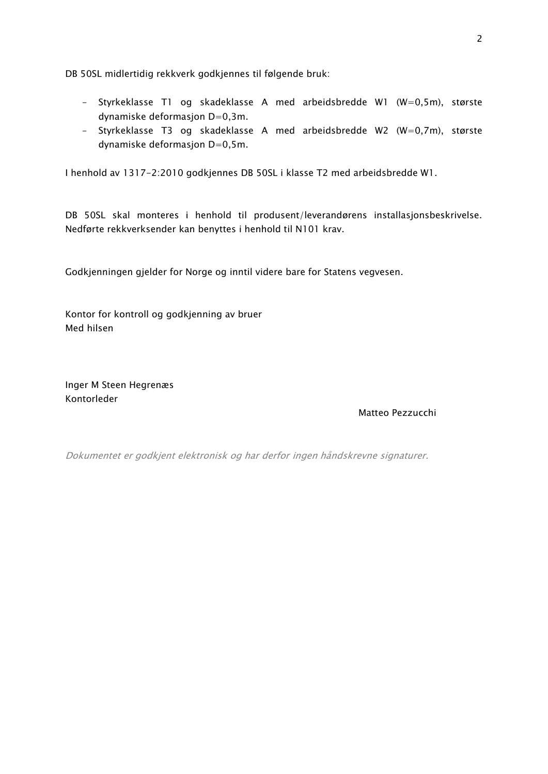DB 50SL midlertidig rekkverk godkjennes til følgende bruk:

- Styrkeklasse T1 og skadeklasse A med arbeidsbredde W1 (W=0,5m), største dynamiske deformasjon D=0,3m.
- Styrkeklasse T3 og skadeklasse A med arbeidsbredde W2 (W=0,7m), største dynamiske deformasjon D=0,5m.

I henhold av 1317-2:2010 godkjennes DB 50SL i klasse T2 med arbeidsbredde W1.

DB 50SL skal monteres i henhold til produsent/leverandørens installasjonsbeskrivelse. Nedførte rekkverksender kan benyttes i henhold til N101 krav.

Godkjenningen gjelder for Norge og inntil videre bare for Statens vegvesen.

Kontor for kontroll og godkjenning av bruer Med hilsen

Inger M Steen Hegrenæs Kontorleder

Matteo Pezzucchi

Dokumentet er godkjent elektronisk og har derfor ingen håndskrevne signaturer.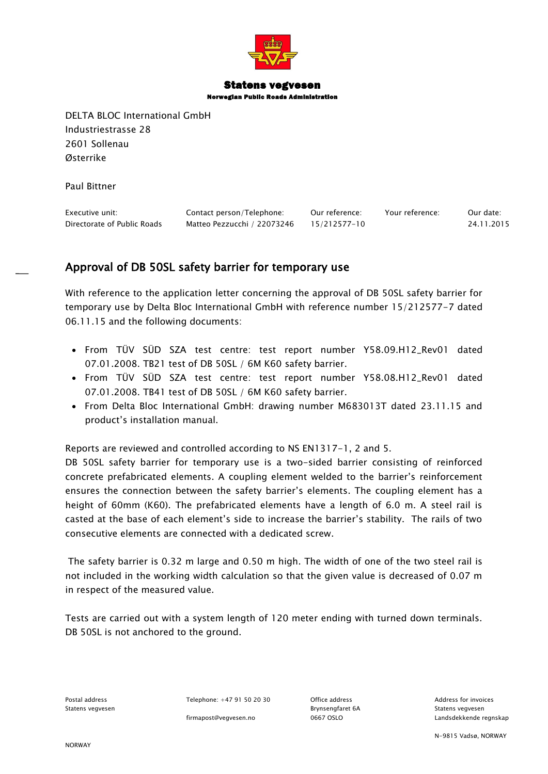

## Statens vegvesen Norwegian Public Roads Administration

DELTA BLOC International GmbH Industriestrasse 28 2601 Sollenau Østerrike

Paul Bittner

| Executive unit:             | Contact person/Telephone:   | Our reference: | Your reference: | Our date:  |
|-----------------------------|-----------------------------|----------------|-----------------|------------|
| Directorate of Public Roads | Matteo Pezzucchi / 22073246 | 15/212577-10   |                 | 24.11.2015 |

## Approval of DB 50SL safety barrier for temporary use

With reference to the application letter concerning the approval of DB 50SL safety barrier for temporary use by Delta Bloc International GmbH with reference number 15/212577-7 dated 06.11.15 and the following documents:

- From TÜV SÜD SZA test centre: test report number Y58.09.H12\_Rev01 dated 07.01.2008. TB21 test of DB 50SL / 6M K60 safety barrier.
- From TÜV SÜD SZA test centre: test report number Y58.08.H12\_Rev01 dated 07.01.2008. TB41 test of DB 50SL / 6M K60 safety barrier.
- From Delta Bloc International GmbH: drawing number M683013T dated 23.11.15 and product's installation manual.

Reports are reviewed and controlled according to NS EN1317-1, 2 and 5.

DB 50SL safety barrier for temporary use is a two-sided barrier consisting of reinforced concrete prefabricated elements. A coupling element welded to the barrier's reinforcement ensures the connection between the safety barrier's elements. The coupling element has a height of 60mm (K60). The prefabricated elements have a length of 6.0 m. A steel rail is casted at the base of each element's side to increase the barrier's stability. The rails of two consecutive elements are connected with a dedicated screw.

The safety barrier is 0.32 m large and 0.50 m high. The width of one of the two steel rail is not included in the working width calculation so that the given value is decreased of 0.07 m in respect of the measured value.

Tests are carried out with a system length of 120 meter ending with turned down terminals. DB 50SL is not anchored to the ground.

Postal address Telephone: +47 91 50 20 30 Office address Communications Address for invoices

Statens vegvesen Brynsengfaret 6A Statens vegvesen

firmapost@vegvesen.no 0667 OSLO Landsdekkende regnskap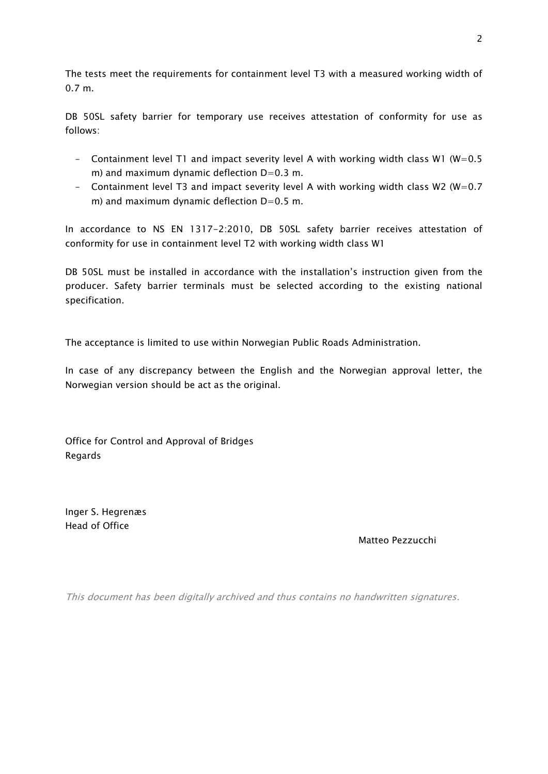The tests meet the requirements for containment level T3 with a measured working width of 0.7 m.

DB 50SL safety barrier for temporary use receives attestation of conformity for use as follows:

- Containment level T1 and impact severity level A with working width class W1 (W=0.5 m) and maximum dynamic deflection  $D=0.3$  m.
- Containment level T3 and impact severity level A with working width class W2 (W=0.7) m) and maximum dynamic deflection  $D=0.5$  m.

In accordance to NS EN 1317-2:2010, DB 50SL safety barrier receives attestation of conformity for use in containment level T2 with working width class W1

DB 50SL must be installed in accordance with the installation's instruction given from the producer. Safety barrier terminals must be selected according to the existing national specification.

The acceptance is limited to use within Norwegian Public Roads Administration.

In case of any discrepancy between the English and the Norwegian approval letter, the Norwegian version should be act as the original.

Office for Control and Approval of Bridges Regards

Inger S. Hegrenæs Head of Office

Matteo Pezzucchi

This document has been digitally archived and thus contains no handwritten signatures.